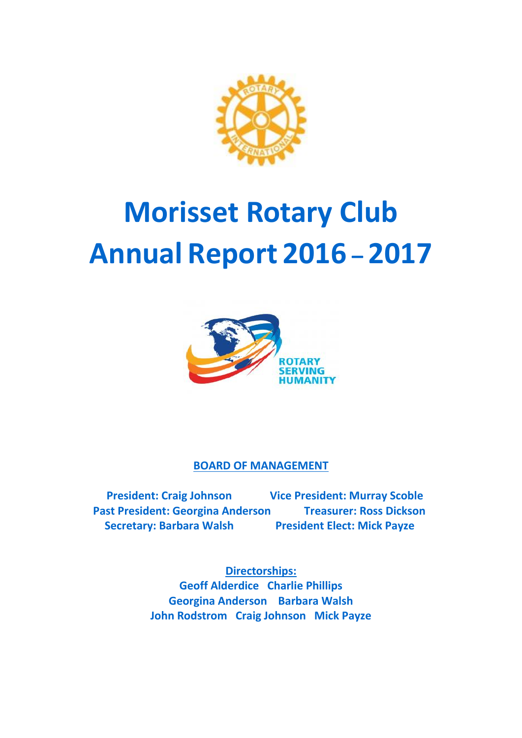

# **Morisset Rotary Club Annual Report 2016 – 2017**



**BOARD OF MANAGEMENT**

 **President: Craig Johnson Vice President: Murray Scoble** Past President: Georgina Anderson Treasurer: Ross Dickson  **Secretary: Barbara Walsh President Elect: Mick Payze** 

> **Directorships: Geoff Alderdice Charlie Phillips Georgina Anderson Barbara Walsh John Rodstrom Craig Johnson Mick Payze**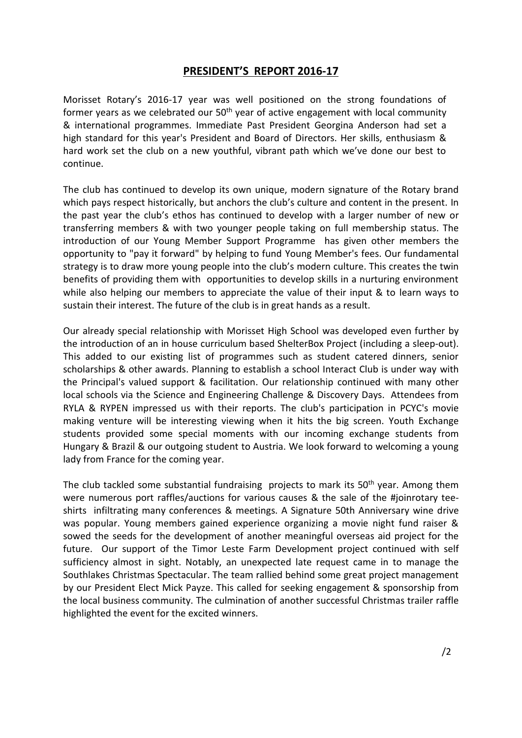#### **PRESIDENT'S REPORT 2016-17**

Morisset Rotary's 2016-17 year was well positioned on the strong foundations of former years as we celebrated our  $50<sup>th</sup>$  year of active engagement with local community & international programmes. Immediate Past President Georgina Anderson had set a high standard for this year's President and Board of Directors. Her skills, enthusiasm & hard work set the club on a new youthful, vibrant path which we've done our best to continue.

The club has continued to develop its own unique, modern signature of the Rotary brand which pays respect historically, but anchors the club's culture and content in the present. In the past year the club's ethos has continued to develop with a larger number of new or transferring members & with two younger people taking on full membership status. The introduction of our Young Member Support Programme has given other members the opportunity to "pay it forward" by helping to fund Young Member's fees. Our fundamental strategy is to draw more young people into the club's modern culture. This creates the twin benefits of providing them with opportunities to develop skills in a nurturing environment while also helping our members to appreciate the value of their input & to learn ways to sustain their interest. The future of the club is in great hands as a result.

Our already special relationship with Morisset High School was developed even further by the introduction of an in house curriculum based ShelterBox Project (including a sleep-out). This added to our existing list of programmes such as student catered dinners, senior scholarships & other awards. Planning to establish a school Interact Club is under way with the Principal's valued support & facilitation. Our relationship continued with many other local schools via the Science and Engineering Challenge & Discovery Days. Attendees from RYLA & RYPEN impressed us with their reports. The club's participation in PCYC's movie making venture will be interesting viewing when it hits the big screen. Youth Exchange students provided some special moments with our incoming exchange students from Hungary & Brazil & our outgoing student to Austria. We look forward to welcoming a young lady from France for the coming year.

The club tackled some substantial fundraising projects to mark its  $50<sup>th</sup>$  year. Among them were numerous port raffles/auctions for various causes & the sale of the #joinrotary teeshirts infiltrating many conferences & meetings. A Signature 50th Anniversary wine drive was popular. Young members gained experience organizing a movie night fund raiser & sowed the seeds for the development of another meaningful overseas aid project for the future. Our support of the Timor Leste Farm Development project continued with self sufficiency almost in sight. Notably, an unexpected late request came in to manage the Southlakes Christmas Spectacular. The team rallied behind some great project management by our President Elect Mick Payze. This called for seeking engagement & sponsorship from the local business community. The culmination of another successful Christmas trailer raffle highlighted the event for the excited winners.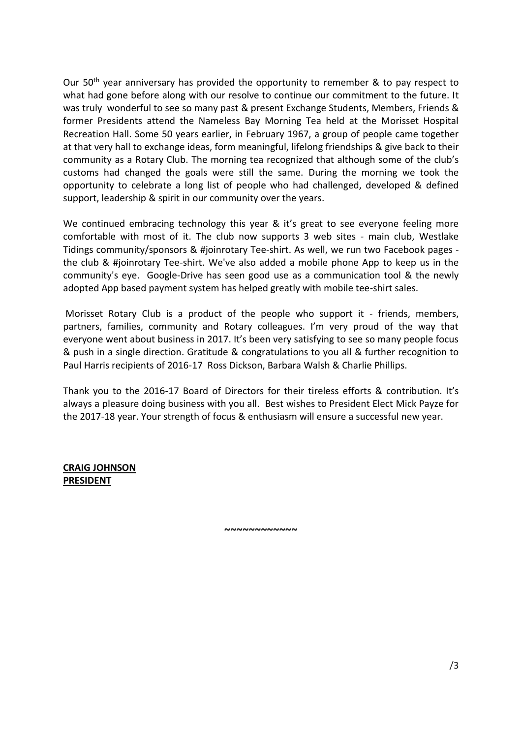Our 50<sup>th</sup> year anniversary has provided the opportunity to remember & to pay respect to what had gone before along with our resolve to continue our commitment to the future. It was truly wonderful to see so many past & present Exchange Students, Members, Friends & former Presidents attend the Nameless Bay Morning Tea held at the Morisset Hospital Recreation Hall. Some 50 years earlier, in February 1967, a group of people came together at that very hall to exchange ideas, form meaningful, lifelong friendships & give back to their community as a Rotary Club. The morning tea recognized that although some of the club's customs had changed the goals were still the same. During the morning we took the opportunity to celebrate a long list of people who had challenged, developed & defined support, leadership & spirit in our community over the years.

We continued embracing technology this year & it's great to see everyone feeling more comfortable with most of it. The club now supports 3 web sites - main club, Westlake Tidings community/sponsors & #joinrotary Tee-shirt. As well, we run two Facebook pages the club & #joinrotary Tee-shirt. We've also added a mobile phone App to keep us in the community's eye. Google-Drive has seen good use as a communication tool & the newly adopted App based payment system has helped greatly with mobile tee-shirt sales.

Morisset Rotary Club is a product of the people who support it - friends, members, partners, families, community and Rotary colleagues. I'm very proud of the way that everyone went about business in 2017. It's been very satisfying to see so many people focus & push in a single direction. Gratitude & congratulations to you all & further recognition to Paul Harris recipients of 2016-17 Ross Dickson, Barbara Walsh & Charlie Phillips.

Thank you to the 2016-17 Board of Directors for their tireless efforts & contribution. It's always a pleasure doing business with you all. Best wishes to President Elect Mick Payze for the 2017-18 year. Your strength of focus & enthusiasm will ensure a successful new year.

**CRAIG JOHNSON PRESIDENT**

**~~~~~~~~~~~~**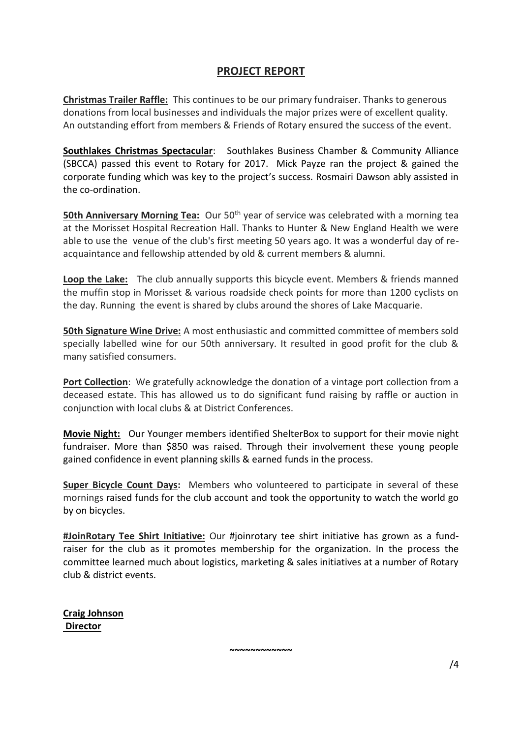## **PROJECT REPORT**

**Christmas Trailer Raffle:** This continues to be our primary fundraiser. Thanks to generous donations from local businesses and individuals the major prizes were of excellent quality. An outstanding effort from members & Friends of Rotary ensured the success of the event.

**Southlakes Christmas Spectacular**: Southlakes Business Chamber & Community Alliance (SBCCA) passed this event to Rotary for 2017. Mick Payze ran the project & gained the corporate funding which was key to the project's success. Rosmairi Dawson ably assisted in the co-ordination.

**50th Anniversary Morning Tea:** Our 50<sup>th</sup> year of service was celebrated with a morning tea at the Morisset Hospital Recreation Hall. Thanks to Hunter & New England Health we were able to use the venue of the club's first meeting 50 years ago. It was a wonderful day of reacquaintance and fellowship attended by old & current members & alumni.

**Loop the Lake:** The club annually supports this bicycle event. Members & friends manned the muffin stop in Morisset & various roadside check points for more than 1200 cyclists on the day. Running the event is shared by clubs around the shores of Lake Macquarie.

**50th Signature Wine Drive:** A most enthusiastic and committed committee of members sold specially labelled wine for our 50th anniversary. It resulted in good profit for the club & many satisfied consumers.

**Port Collection**: We gratefully acknowledge the donation of a vintage port collection from a deceased estate. This has allowed us to do significant fund raising by raffle or auction in conjunction with local clubs & at District Conferences.

**Movie Night:** Our Younger members identified ShelterBox to support for their movie night fundraiser. More than \$850 was raised. Through their involvement these young people gained confidence in event planning skills & earned funds in the process.

**Super Bicycle Count Days:** Members who volunteered to participate in several of these mornings raised funds for the club account and took the opportunity to watch the world go by on bicycles.

**#JoinRotary Tee Shirt Initiative:** Our #joinrotary tee shirt initiative has grown as a fundraiser for the club as it promotes membership for the organization. In the process the committee learned much about logistics, marketing & sales initiatives at a number of Rotary club & district events.

**~~~~~~~~~~~~**

**Craig Johnson Director**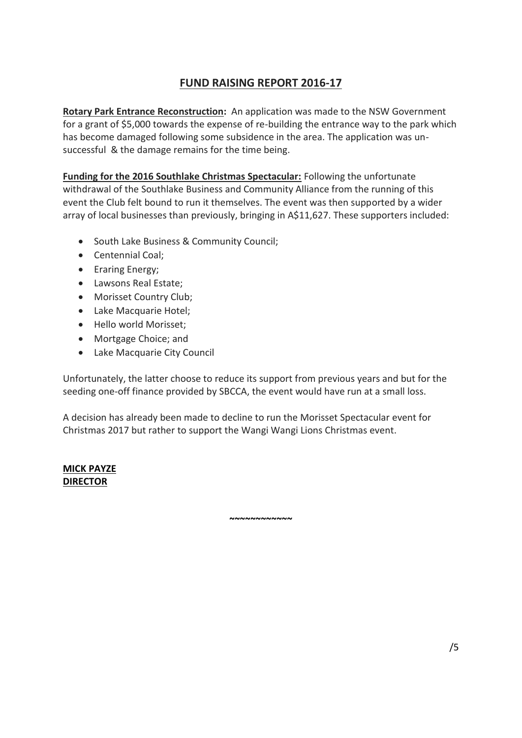# **FUND RAISING REPORT 2016-17**

**Rotary Park Entrance Reconstruction:** An application was made to the NSW Government for a grant of \$5,000 towards the expense of re-building the entrance way to the park which has become damaged following some subsidence in the area. The application was unsuccessful & the damage remains for the time being.

**Funding for the 2016 Southlake Christmas Spectacular:** Following the unfortunate withdrawal of the Southlake Business and Community Alliance from the running of this event the Club felt bound to run it themselves. The event was then supported by a wider array of local businesses than previously, bringing in A\$11,627. These supporters included:

- South Lake Business & Community Council;
- Centennial Coal;
- Eraring Energy;
- Lawsons Real Estate;
- Morisset Country Club;
- Lake Macquarie Hotel;
- Hello world Morisset;
- Mortgage Choice; and
- Lake Macquarie City Council

Unfortunately, the latter choose to reduce its support from previous years and but for the seeding one-off finance provided by SBCCA, the event would have run at a small loss.

A decision has already been made to decline to run the Morisset Spectacular event for Christmas 2017 but rather to support the Wangi Wangi Lions Christmas event.

**~~~~~~~~~~~~**

#### **MICK PAYZE DIRECTOR**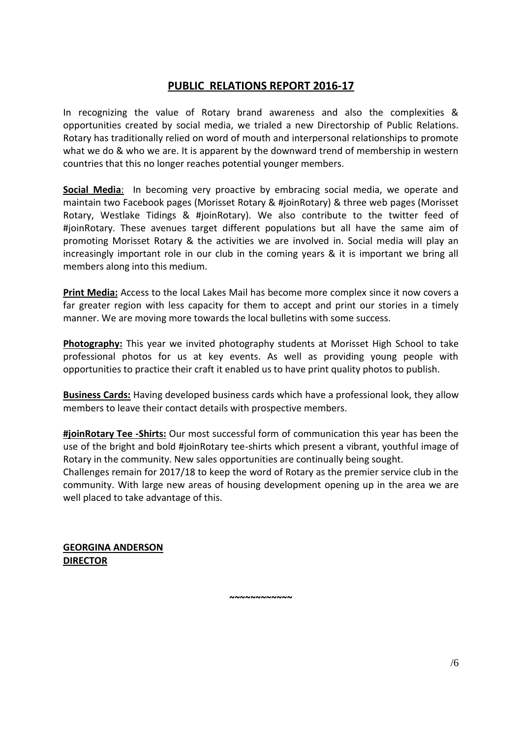# **PUBLIC RELATIONS REPORT 2016-17**

In recognizing the value of Rotary brand awareness and also the complexities & opportunities created by social media, we trialed a new Directorship of Public Relations. Rotary has traditionally relied on word of mouth and interpersonal relationships to promote what we do & who we are. It is apparent by the downward trend of membership in western countries that this no longer reaches potential younger members.

**Social Media**: In becoming very proactive by embracing social media, we operate and maintain two Facebook pages (Morisset Rotary & #joinRotary) & three web pages (Morisset Rotary, Westlake Tidings & #joinRotary). We also contribute to the twitter feed of #joinRotary. These avenues target different populations but all have the same aim of promoting Morisset Rotary & the activities we are involved in. Social media will play an increasingly important role in our club in the coming years & it is important we bring all members along into this medium.

**Print Media:** Access to the local Lakes Mail has become more complex since it now covers a far greater region with less capacity for them to accept and print our stories in a timely manner. We are moving more towards the local bulletins with some success.

**Photography:** This year we invited photography students at Morisset High School to take professional photos for us at key events. As well as providing young people with opportunities to practice their craft it enabled us to have print quality photos to publish.

**Business Cards:** Having developed business cards which have a professional look, they allow members to leave their contact details with prospective members.

**#joinRotary Tee -Shirts:** Our most successful form of communication this year has been the use of the bright and bold #joinRotary tee-shirts which present a vibrant, youthful image of Rotary in the community. New sales opportunities are continually being sought. Challenges remain for 2017/18 to keep the word of Rotary as the premier service club in the community. With large new areas of housing development opening up in the area we are well placed to take advantage of this.

**~~~~~~~~~~~~**

**GEORGINA ANDERSON DIRECTOR**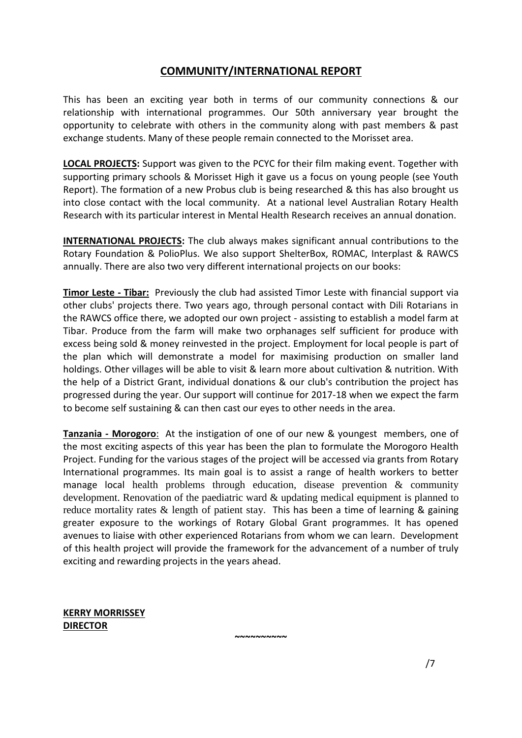### **COMMUNITY/INTERNATIONAL REPORT**

This has been an exciting year both in terms of our community connections & our relationship with international programmes. Our 50th anniversary year brought the opportunity to celebrate with others in the community along with past members & past exchange students. Many of these people remain connected to the Morisset area.

**LOCAL PROJECTS:** Support was given to the PCYC for their film making event. Together with supporting primary schools & Morisset High it gave us a focus on young people (see Youth Report). The formation of a new Probus club is being researched & this has also brought us into close contact with the local community. At a national level Australian Rotary Health Research with its particular interest in Mental Health Research receives an annual donation.

**INTERNATIONAL PROJECTS:** The club always makes significant annual contributions to the Rotary Foundation & PolioPlus. We also support ShelterBox, ROMAC, Interplast & RAWCS annually. There are also two very different international projects on our books:

**Timor Leste - Tibar:** Previously the club had assisted Timor Leste with financial support via other clubs' projects there. Two years ago, through personal contact with Dili Rotarians in the RAWCS office there, we adopted our own project - assisting to establish a model farm at Tibar. Produce from the farm will make two orphanages self sufficient for produce with excess being sold & money reinvested in the project. Employment for local people is part of the plan which will demonstrate a model for maximising production on smaller land holdings. Other villages will be able to visit & learn more about cultivation & nutrition. With the help of a District Grant, individual donations & our club's contribution the project has progressed during the year. Our support will continue for 2017-18 when we expect the farm to become self sustaining & can then cast our eyes to other needs in the area.

**Tanzania - Morogoro**: At the instigation of one of our new & youngest members, one of the most exciting aspects of this year has been the plan to formulate the Morogoro Health Project. Funding for the various stages of the project will be accessed via grants from Rotary International programmes. Its main goal is to assist a range of health workers to better manage local health problems through education, disease prevention & community development. Renovation of the paediatric ward & updating medical equipment is planned to reduce mortality rates & length of patient stay. This has been a time of learning & gaining greater exposure to the workings of Rotary Global Grant programmes. It has opened avenues to liaise with other experienced Rotarians from whom we can learn. Development of this health project will provide the framework for the advancement of a number of truly exciting and rewarding projects in the years ahead.

**~~~~~~~~~~**

**KERRY MORRISSEY DIRECTOR** 

/7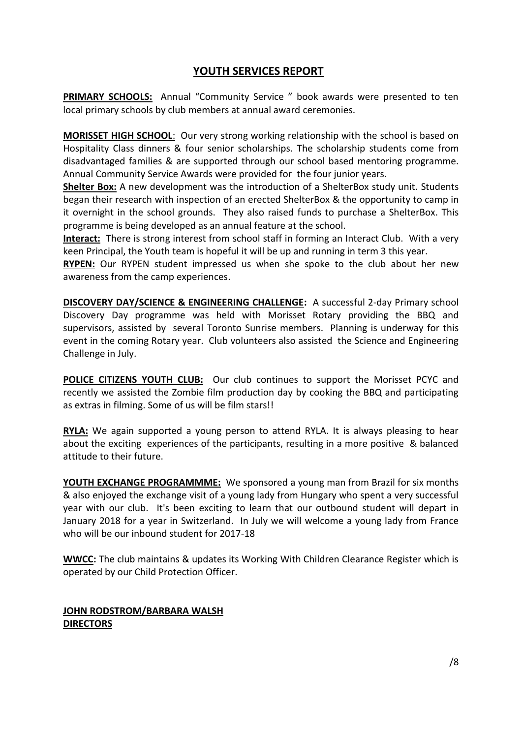## **YOUTH SERVICES REPORT**

**PRIMARY SCHOOLS:** Annual "Community Service " book awards were presented to ten local primary schools by club members at annual award ceremonies.

**MORISSET HIGH SCHOOL**: Our very strong working relationship with the school is based on Hospitality Class dinners & four senior scholarships. The scholarship students come from disadvantaged families & are supported through our school based mentoring programme. Annual Community Service Awards were provided for the four junior years.

**Shelter Box:** A new development was the introduction of a ShelterBox study unit. Students began their research with inspection of an erected ShelterBox & the opportunity to camp in it overnight in the school grounds. They also raised funds to purchase a ShelterBox. This programme is being developed as an annual feature at the school.

**Interact:** There is strong interest from school staff in forming an Interact Club. With a very keen Principal, the Youth team is hopeful it will be up and running in term 3 this year.

**RYPEN:** Our RYPEN student impressed us when she spoke to the club about her new awareness from the camp experiences.

**DISCOVERY DAY/SCIENCE & ENGINEERING CHALLENGE:** A successful 2-day Primary school Discovery Day programme was held with Morisset Rotary providing the BBQ and supervisors, assisted by several Toronto Sunrise members. Planning is underway for this event in the coming Rotary year. Club volunteers also assisted the Science and Engineering Challenge in July.

**POLICE CITIZENS YOUTH CLUB:** Our club continues to support the Morisset PCYC and recently we assisted the Zombie film production day by cooking the BBQ and participating as extras in filming. Some of us will be film stars!!

**RYLA:** We again supported a young person to attend RYLA. It is always pleasing to hear about the exciting experiences of the participants, resulting in a more positive & balanced attitude to their future.

**YOUTH EXCHANGE PROGRAMMME:** We sponsored a young man from Brazil for six months & also enjoyed the exchange visit of a young lady from Hungary who spent a very successful year with our club. It's been exciting to learn that our outbound student will depart in January 2018 for a year in Switzerland. In July we will welcome a young lady from France who will be our inbound student for 2017-18

**WWCC:** The club maintains & updates its Working With Children Clearance Register which is operated by our Child Protection Officer.

## **JOHN RODSTROM/BARBARA WALSH DIRECTORS**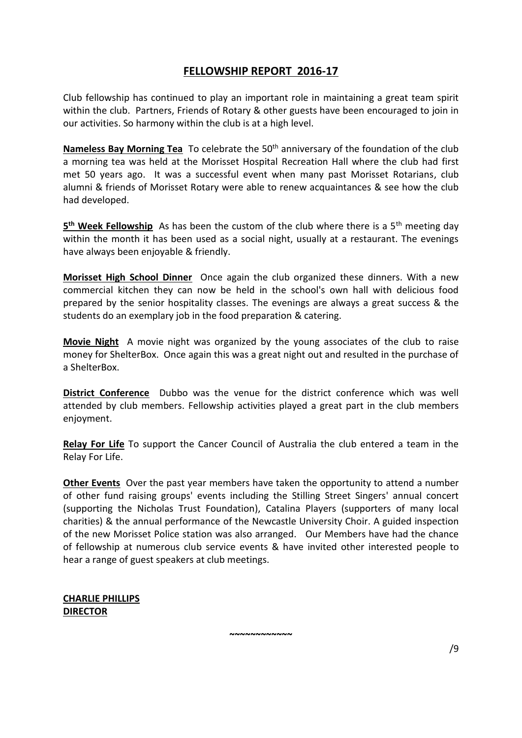## **FELLOWSHIP REPORT 2016-17**

Club fellowship has continued to play an important role in maintaining a great team spirit within the club. Partners, Friends of Rotary & other guests have been encouraged to join in our activities. So harmony within the club is at a high level.

**Nameless Bay Morning Tea** To celebrate the 50<sup>th</sup> anniversary of the foundation of the club a morning tea was held at the Morisset Hospital Recreation Hall where the club had first met 50 years ago. It was a successful event when many past Morisset Rotarians, club alumni & friends of Morisset Rotary were able to renew acquaintances & see how the club had developed.

**5 th Week Fellowship** As has been the custom of the club where there is a 5th meeting day within the month it has been used as a social night, usually at a restaurant. The evenings have always been enjoyable & friendly.

**Morisset High School Dinner** Once again the club organized these dinners. With a new commercial kitchen they can now be held in the school's own hall with delicious food prepared by the senior hospitality classes. The evenings are always a great success & the students do an exemplary job in the food preparation & catering.

**Movie Night** A movie night was organized by the young associates of the club to raise money for ShelterBox. Once again this was a great night out and resulted in the purchase of a ShelterBox.

**District Conference** Dubbo was the venue for the district conference which was well attended by club members. Fellowship activities played a great part in the club members enjoyment.

**Relay For Life** To support the Cancer Council of Australia the club entered a team in the Relay For Life.

**Other Events** Over the past year members have taken the opportunity to attend a number of other fund raising groups' events including the Stilling Street Singers' annual concert (supporting the Nicholas Trust Foundation), Catalina Players (supporters of many local charities) & the annual performance of the Newcastle University Choir. A guided inspection of the new Morisset Police station was also arranged. Our Members have had the chance of fellowship at numerous club service events & have invited other interested people to hear a range of guest speakers at club meetings.

**~~~~~~~~~~~~**

#### **CHARLIE PHILLIPS DIRECTOR**